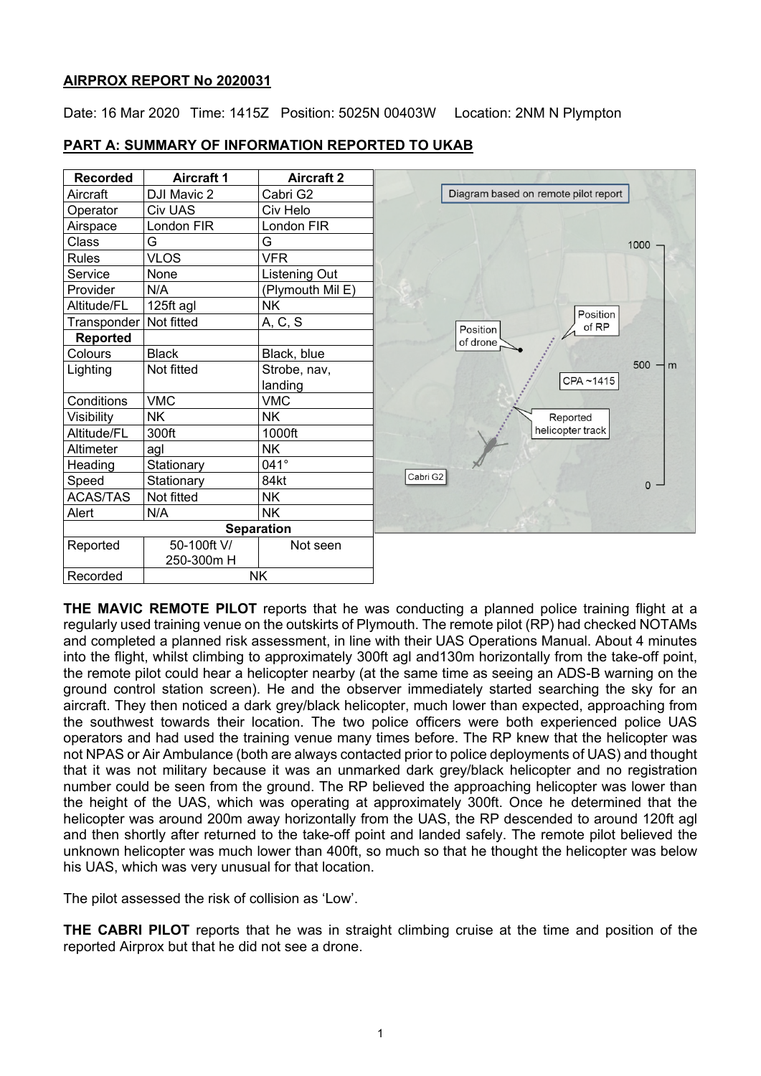## **AIRPROX REPORT No 2020031**

Date: 16 Mar 2020 Time: 1415Z Position: 5025N 00403W Location: 2NM N Plympton

| <b>Recorded</b> | <b>Aircraft 1</b> | <b>Aircraft 2</b> |
|-----------------|-------------------|-------------------|
| Aircraft        | DJI Mavic 2       | Cabri G2          |
| Operator        | Civ UAS           | Civ Helo          |
| Airspace        | London FIR        | London FIR        |
| Class           | G                 | G                 |
| <b>Rules</b>    | <b>VLOS</b>       | <b>VFR</b>        |
| Service         | None              | Listening Out     |
| Provider        | N/A               | (Plymouth Mil E)  |
| Altitude/FL     | 125ft agl         | <b>NK</b>         |
| Transponder     | Not fitted        | A, C, S           |
| <b>Reported</b> |                   |                   |
| Colours         | <b>Black</b>      | Black, blue       |
| Lighting        | Not fitted        | Strobe, nav,      |
|                 |                   | landing           |
| Conditions      | <b>VMC</b>        | <b>VMC</b>        |
| Visibility      | <b>NK</b>         | NK.               |
| Altitude/FL     | 300ft             | 1000ft            |
| Altimeter       | agl               | <b>NK</b>         |
| Heading         | Stationary        | 041°              |
| Speed           | Stationary        | 84kt              |
| <b>ACAS/TAS</b> | Not fitted        | <b>NK</b>         |
| Alert           | N/A               | <b>NK</b>         |
|                 |                   | <b>Separation</b> |
| Reported        | 50-100ft V/       | Not seen          |
|                 | 250-300m H        |                   |
| Recorded        | <b>NK</b>         |                   |

# **PART A: SUMMARY OF INFORMATION REPORTED TO UKAB**

**THE MAVIC REMOTE PILOT** reports that he was conducting a planned police training flight at a regularly used training venue on the outskirts of Plymouth. The remote pilot (RP) had checked NOTAMs and completed a planned risk assessment, in line with their UAS Operations Manual. About 4 minutes into the flight, whilst climbing to approximately 300ft agl and130m horizontally from the take-off point, the remote pilot could hear a helicopter nearby (at the same time as seeing an ADS-B warning on the ground control station screen). He and the observer immediately started searching the sky for an aircraft. They then noticed a dark grey/black helicopter, much lower than expected, approaching from the southwest towards their location. The two police officers were both experienced police UAS operators and had used the training venue many times before. The RP knew that the helicopter was not NPAS or Air Ambulance (both are always contacted prior to police deployments of UAS) and thought that it was not military because it was an unmarked dark grey/black helicopter and no registration number could be seen from the ground. The RP believed the approaching helicopter was lower than the height of the UAS, which was operating at approximately 300ft. Once he determined that the helicopter was around 200m away horizontally from the UAS, the RP descended to around 120ft agl and then shortly after returned to the take-off point and landed safely. The remote pilot believed the unknown helicopter was much lower than 400ft, so much so that he thought the helicopter was below his UAS, which was very unusual for that location.

The pilot assessed the risk of collision as 'Low'.

**THE CABRI PILOT** reports that he was in straight climbing cruise at the time and position of the reported Airprox but that he did not see a drone.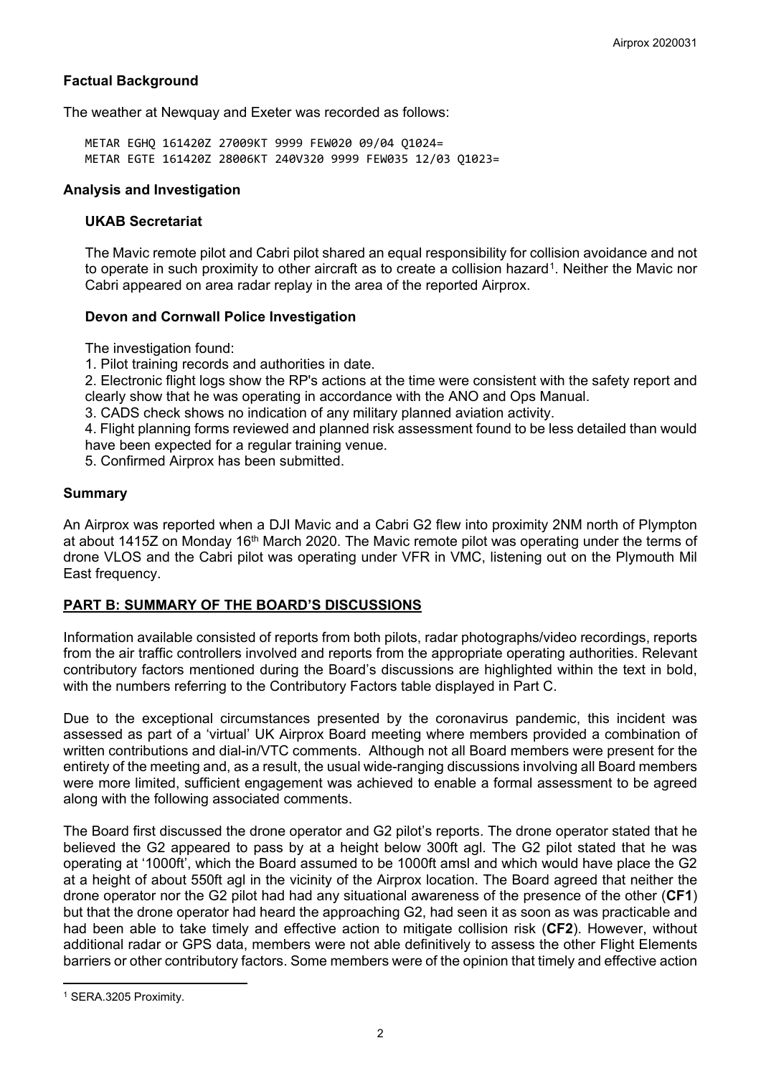## **Factual Background**

The weather at Newquay and Exeter was recorded as follows:

METAR EGHQ 161420Z 27009KT 9999 FEW020 09/04 Q1024= METAR EGTE 161420Z 28006KT 240V320 9999 FEW035 12/03 Q1023=

#### **Analysis and Investigation**

## **UKAB Secretariat**

The Mavic remote pilot and Cabri pilot shared an equal responsibility for collision avoidance and not to operate in such proximity to other aircraft as to create a collision hazard<sup>[1](#page-1-0)</sup>. Neither the Mavic nor Cabri appeared on area radar replay in the area of the reported Airprox.

#### **Devon and Cornwall Police Investigation**

The investigation found:

1. Pilot training records and authorities in date.

2. Electronic flight logs show the RP's actions at the time were consistent with the safety report and clearly show that he was operating in accordance with the ANO and Ops Manual.

3. CADS check shows no indication of any military planned aviation activity.

4. Flight planning forms reviewed and planned risk assessment found to be less detailed than would have been expected for a regular training venue.

5. Confirmed Airprox has been submitted.

#### **Summary**

An Airprox was reported when a DJI Mavic and a Cabri G2 flew into proximity 2NM north of Plympton at about 1415Z on Monday 16<sup>th</sup> March 2020. The Mavic remote pilot was operating under the terms of drone VLOS and the Cabri pilot was operating under VFR in VMC, listening out on the Plymouth Mil East frequency.

## **PART B: SUMMARY OF THE BOARD'S DISCUSSIONS**

Information available consisted of reports from both pilots, radar photographs/video recordings, reports from the air traffic controllers involved and reports from the appropriate operating authorities. Relevant contributory factors mentioned during the Board's discussions are highlighted within the text in bold, with the numbers referring to the Contributory Factors table displayed in Part C.

Due to the exceptional circumstances presented by the coronavirus pandemic, this incident was assessed as part of a 'virtual' UK Airprox Board meeting where members provided a combination of written contributions and dial-in/VTC comments. Although not all Board members were present for the entirety of the meeting and, as a result, the usual wide-ranging discussions involving all Board members were more limited, sufficient engagement was achieved to enable a formal assessment to be agreed along with the following associated comments.

The Board first discussed the drone operator and G2 pilot's reports. The drone operator stated that he believed the G2 appeared to pass by at a height below 300ft agl. The G2 pilot stated that he was operating at '1000ft', which the Board assumed to be 1000ft amsl and which would have place the G2 at a height of about 550ft agl in the vicinity of the Airprox location. The Board agreed that neither the drone operator nor the G2 pilot had had any situational awareness of the presence of the other (**CF1**) but that the drone operator had heard the approaching G2, had seen it as soon as was practicable and had been able to take timely and effective action to mitigate collision risk (**CF2**). However, without additional radar or GPS data, members were not able definitively to assess the other Flight Elements barriers or other contributory factors. Some members were of the opinion that timely and effective action

 $\overline{\phantom{a}}$ 

<span id="page-1-0"></span><sup>1</sup> SERA.3205 Proximity.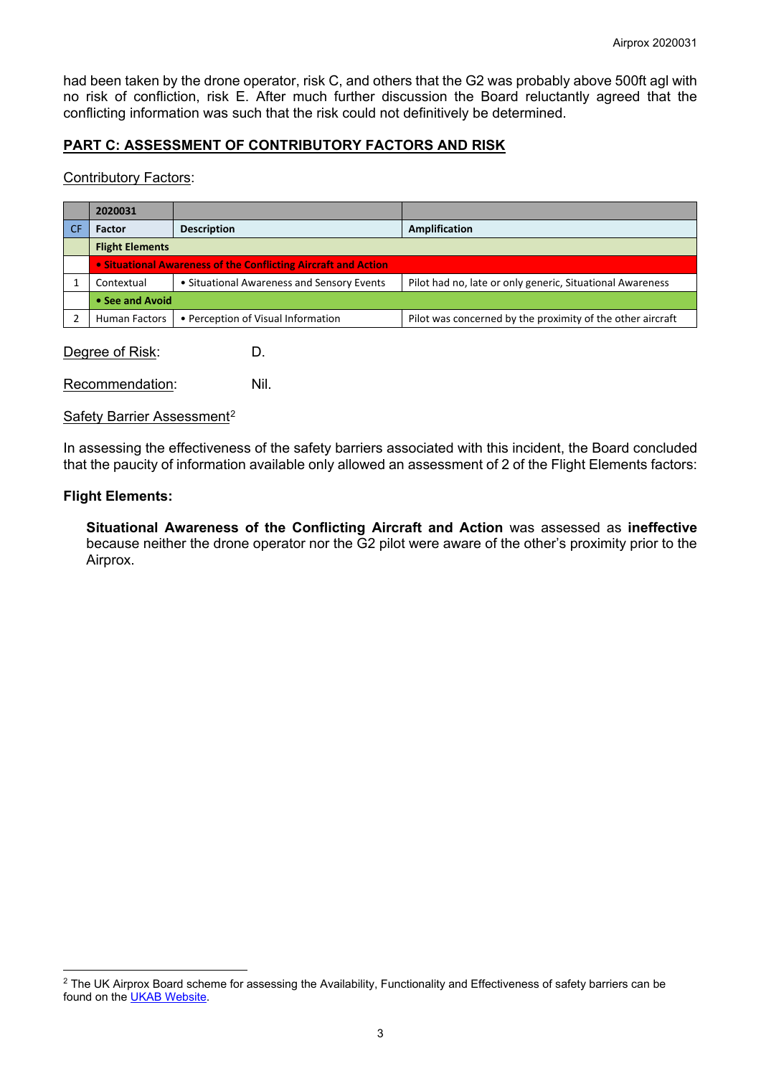had been taken by the drone operator, risk C, and others that the G2 was probably above 500ft agl with no risk of confliction, risk E. After much further discussion the Board reluctantly agreed that the conflicting information was such that the risk could not definitively be determined.

# **PART C: ASSESSMENT OF CONTRIBUTORY FACTORS AND RISK**

#### Contributory Factors:

| 2020031                |                                                                |                                                            |  |  |  |
|------------------------|----------------------------------------------------------------|------------------------------------------------------------|--|--|--|
| <b>Factor</b>          | <b>Description</b>                                             | <b>Amplification</b>                                       |  |  |  |
| <b>Flight Elements</b> |                                                                |                                                            |  |  |  |
|                        | • Situational Awareness of the Conflicting Aircraft and Action |                                                            |  |  |  |
| Contextual             | • Situational Awareness and Sensory Events                     | Pilot had no, late or only generic, Situational Awareness  |  |  |  |
| • See and Avoid        |                                                                |                                                            |  |  |  |
| <b>Human Factors</b>   | • Perception of Visual Information                             | Pilot was concerned by the proximity of the other aircraft |  |  |  |

Degree of Risk: D.

Recommendation: Nil.

Safety Barrier Assessment<sup>[2](#page-2-0)</sup>

In assessing the effectiveness of the safety barriers associated with this incident, the Board concluded that the paucity of information available only allowed an assessment of 2 of the Flight Elements factors:

## **Flight Elements:**

 $\overline{\phantom{a}}$ 

**Situational Awareness of the Conflicting Aircraft and Action** was assessed as **ineffective** because neither the drone operator nor the G2 pilot were aware of the other's proximity prior to the Airprox.

<span id="page-2-0"></span><sup>&</sup>lt;sup>2</sup> The UK Airprox Board scheme for assessing the Availability, Functionality and Effectiveness of safety barriers can be found on the **UKAB Website**.